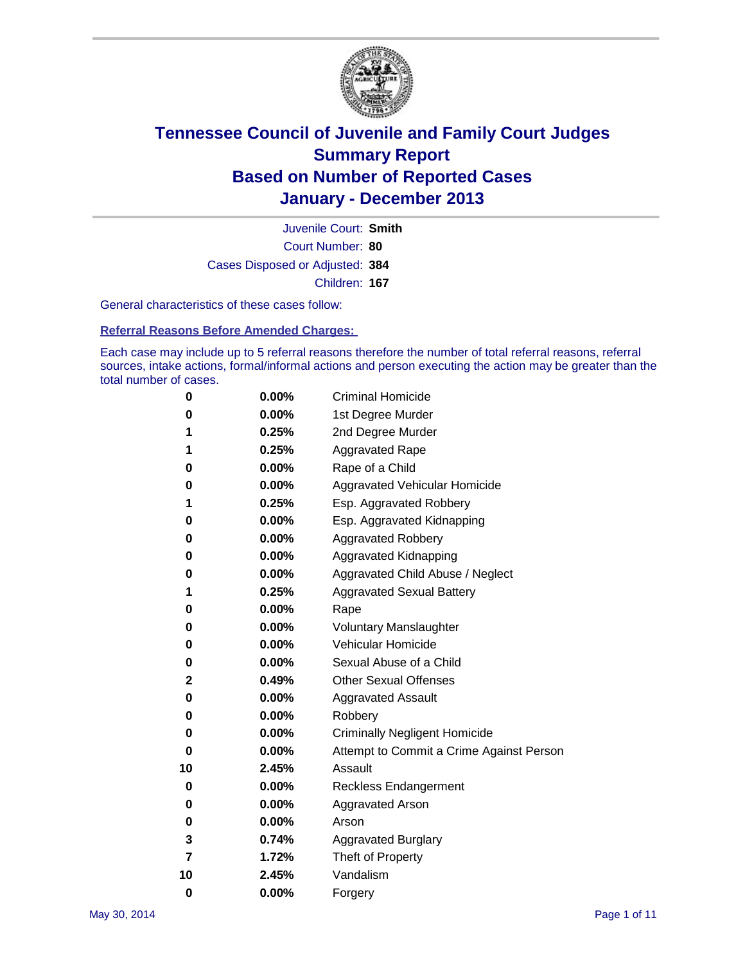

Court Number: **80** Juvenile Court: **Smith** Cases Disposed or Adjusted: **384** Children: **167**

General characteristics of these cases follow:

**Referral Reasons Before Amended Charges:** 

Each case may include up to 5 referral reasons therefore the number of total referral reasons, referral sources, intake actions, formal/informal actions and person executing the action may be greater than the total number of cases.

| 0        | 0.00%    | <b>Criminal Homicide</b>                 |
|----------|----------|------------------------------------------|
| 0        | 0.00%    | 1st Degree Murder                        |
| 1        | 0.25%    | 2nd Degree Murder                        |
| 1        | 0.25%    | <b>Aggravated Rape</b>                   |
| 0        | 0.00%    | Rape of a Child                          |
| 0        | 0.00%    | <b>Aggravated Vehicular Homicide</b>     |
| 1        | 0.25%    | Esp. Aggravated Robbery                  |
| 0        | 0.00%    | Esp. Aggravated Kidnapping               |
| 0        | $0.00\%$ | <b>Aggravated Robbery</b>                |
| 0        | 0.00%    | Aggravated Kidnapping                    |
| 0        | 0.00%    | Aggravated Child Abuse / Neglect         |
| 1        | 0.25%    | <b>Aggravated Sexual Battery</b>         |
| 0        | 0.00%    | Rape                                     |
| 0        | 0.00%    | <b>Voluntary Manslaughter</b>            |
| 0        | 0.00%    | Vehicular Homicide                       |
| 0        | 0.00%    | Sexual Abuse of a Child                  |
| 2        | 0.49%    | <b>Other Sexual Offenses</b>             |
| 0        | 0.00%    | <b>Aggravated Assault</b>                |
| 0        | 0.00%    | Robbery                                  |
| 0        | 0.00%    | <b>Criminally Negligent Homicide</b>     |
| 0        | 0.00%    | Attempt to Commit a Crime Against Person |
| 10       | 2.45%    | Assault                                  |
| 0        | 0.00%    | <b>Reckless Endangerment</b>             |
| 0        | 0.00%    | <b>Aggravated Arson</b>                  |
| 0        | $0.00\%$ | Arson                                    |
| 3        | 0.74%    | <b>Aggravated Burglary</b>               |
| 7        | 1.72%    | Theft of Property                        |
| 10       | 2.45%    | Vandalism                                |
| $\bf{0}$ | 0.00%    | Forgery                                  |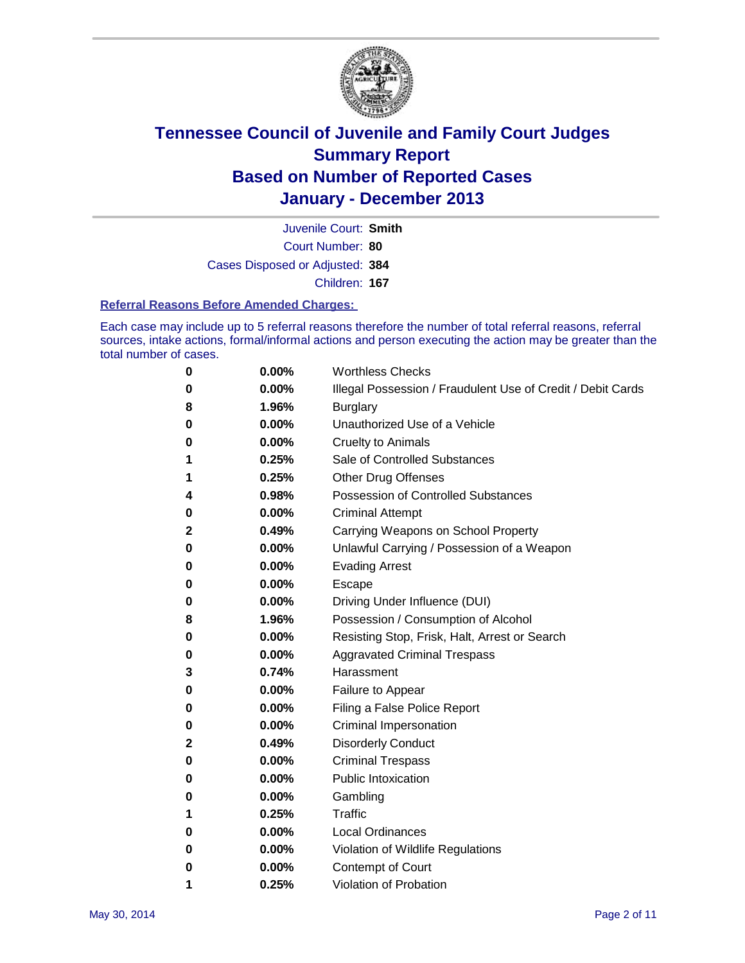

Court Number: **80** Juvenile Court: **Smith** Cases Disposed or Adjusted: **384** Children: **167**

#### **Referral Reasons Before Amended Charges:**

Each case may include up to 5 referral reasons therefore the number of total referral reasons, referral sources, intake actions, formal/informal actions and person executing the action may be greater than the total number of cases.

| 0 | 0.00%    | <b>Worthless Checks</b>                                     |
|---|----------|-------------------------------------------------------------|
| 0 | 0.00%    | Illegal Possession / Fraudulent Use of Credit / Debit Cards |
| 8 | 1.96%    | <b>Burglary</b>                                             |
| 0 | $0.00\%$ | Unauthorized Use of a Vehicle                               |
| 0 | 0.00%    | <b>Cruelty to Animals</b>                                   |
| 1 | 0.25%    | Sale of Controlled Substances                               |
| 1 | 0.25%    | <b>Other Drug Offenses</b>                                  |
| 4 | 0.98%    | Possession of Controlled Substances                         |
| 0 | 0.00%    | <b>Criminal Attempt</b>                                     |
| 2 | 0.49%    | Carrying Weapons on School Property                         |
| 0 | 0.00%    | Unlawful Carrying / Possession of a Weapon                  |
| 0 | 0.00%    | <b>Evading Arrest</b>                                       |
| 0 | 0.00%    | Escape                                                      |
| 0 | 0.00%    | Driving Under Influence (DUI)                               |
| 8 | 1.96%    | Possession / Consumption of Alcohol                         |
| 0 | $0.00\%$ | Resisting Stop, Frisk, Halt, Arrest or Search               |
| 0 | 0.00%    | <b>Aggravated Criminal Trespass</b>                         |
| 3 | 0.74%    | Harassment                                                  |
| 0 | 0.00%    | Failure to Appear                                           |
| 0 | 0.00%    | Filing a False Police Report                                |
| 0 | $0.00\%$ | Criminal Impersonation                                      |
| 2 | 0.49%    | <b>Disorderly Conduct</b>                                   |
| 0 | 0.00%    | <b>Criminal Trespass</b>                                    |
| 0 | 0.00%    | <b>Public Intoxication</b>                                  |
| 0 | 0.00%    | Gambling                                                    |
| 1 | 0.25%    | Traffic                                                     |
| 0 | 0.00%    | <b>Local Ordinances</b>                                     |
| 0 | 0.00%    | Violation of Wildlife Regulations                           |
| 0 | 0.00%    | Contempt of Court                                           |
| 1 | 0.25%    | Violation of Probation                                      |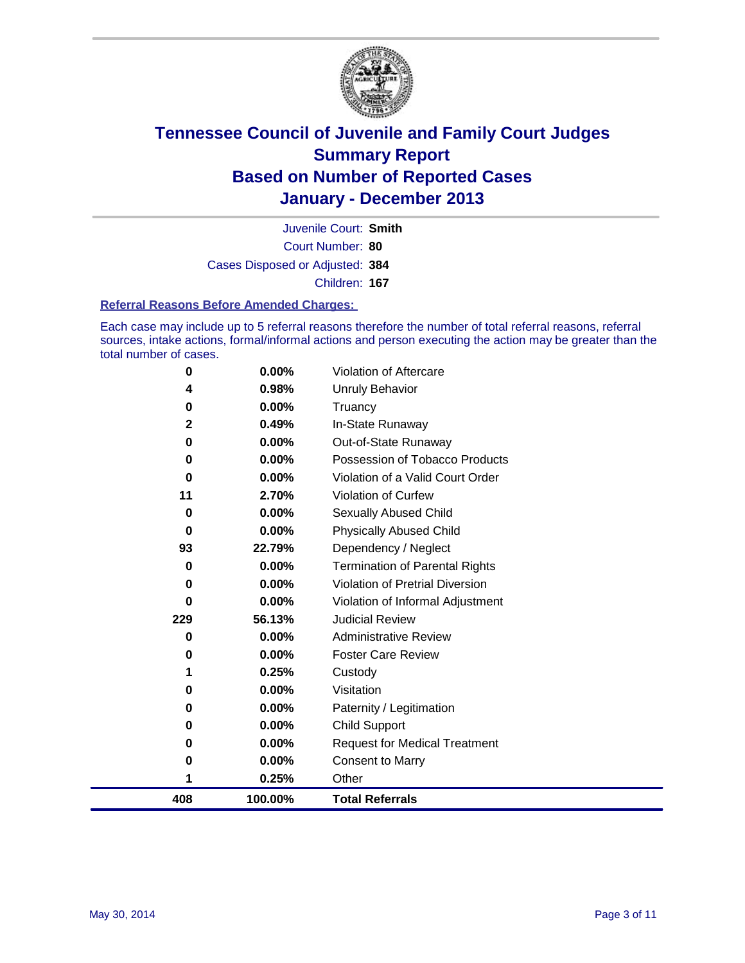

Court Number: **80** Juvenile Court: **Smith** Cases Disposed or Adjusted: **384** Children: **167**

#### **Referral Reasons Before Amended Charges:**

Each case may include up to 5 referral reasons therefore the number of total referral reasons, referral sources, intake actions, formal/informal actions and person executing the action may be greater than the total number of cases.

| 408          | 100.00%  | <b>Total Referrals</b>                 |
|--------------|----------|----------------------------------------|
| 1            | 0.25%    | Other                                  |
| 0            | 0.00%    | <b>Consent to Marry</b>                |
| 0            | 0.00%    | <b>Request for Medical Treatment</b>   |
| 0            | 0.00%    | Child Support                          |
| 0            | 0.00%    | Paternity / Legitimation               |
| 0            | 0.00%    | Visitation                             |
| 1            | 0.25%    | Custody                                |
| 0            | 0.00%    | <b>Foster Care Review</b>              |
| 0            | $0.00\%$ | <b>Administrative Review</b>           |
| 229          | 56.13%   | <b>Judicial Review</b>                 |
| 0            | 0.00%    | Violation of Informal Adjustment       |
| 0            | 0.00%    | <b>Violation of Pretrial Diversion</b> |
| 0            | 0.00%    | <b>Termination of Parental Rights</b>  |
| 93           | 22.79%   | Dependency / Neglect                   |
| 0            | 0.00%    | <b>Physically Abused Child</b>         |
| 0            | 0.00%    | Sexually Abused Child                  |
| 11           | 2.70%    | <b>Violation of Curfew</b>             |
| $\bf{0}$     | 0.00%    | Violation of a Valid Court Order       |
| 0            | 0.00%    | Possession of Tobacco Products         |
| 0            | 0.00%    | Out-of-State Runaway                   |
| $\mathbf{2}$ | 0.49%    | In-State Runaway                       |
| 0            | 0.00%    | Truancy                                |
| 4            | 0.98%    | Unruly Behavior                        |
| 0            | 0.00%    | <b>Violation of Aftercare</b>          |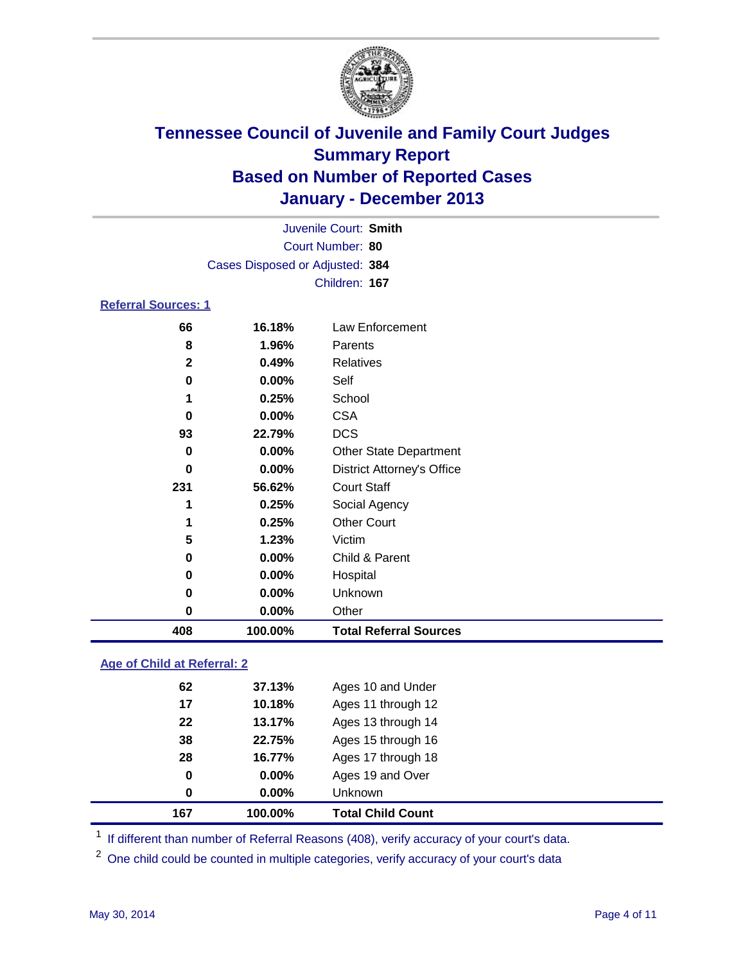

|                            |                                 | Juvenile Court: Smith |  |
|----------------------------|---------------------------------|-----------------------|--|
|                            |                                 | Court Number: 80      |  |
|                            | Cases Disposed or Adjusted: 384 |                       |  |
|                            |                                 | Children: 167         |  |
| <b>Referral Sources: 1</b> |                                 |                       |  |
| 66                         | 16.18%                          | Law Enforcement       |  |
| 8                          | 1.96%                           | Parents               |  |
| 2                          | 0.49%                           | Relatives             |  |

| 408 | 100.00%  | <b>Total Referral Sources</b>     |  |
|-----|----------|-----------------------------------|--|
| 0   | 0.00%    | Other                             |  |
| 0   | $0.00\%$ | <b>Unknown</b>                    |  |
| 0   | 0.00%    | Hospital                          |  |
| 0   | 0.00%    | Child & Parent                    |  |
| 5   | 1.23%    | Victim                            |  |
|     | 0.25%    | <b>Other Court</b>                |  |
|     | 0.25%    | Social Agency                     |  |
| 231 | 56.62%   | <b>Court Staff</b>                |  |
| 0   | 0.00%    | <b>District Attorney's Office</b> |  |
| 0   | 0.00%    | <b>Other State Department</b>     |  |
| 93  | 22.79%   | <b>DCS</b>                        |  |
| 0   | $0.00\%$ | <b>CSA</b>                        |  |
|     | 0.25%    | School                            |  |
| 0   | 0.00%    | Self                              |  |
| 2   | 0.49%    | Relatives                         |  |

### **Age of Child at Referral: 2**

| 167 | 100.00%  | <b>Total Child Count</b> |
|-----|----------|--------------------------|
| 0   | $0.00\%$ | <b>Unknown</b>           |
| 0   | $0.00\%$ | Ages 19 and Over         |
| 28  | 16.77%   | Ages 17 through 18       |
| 38  | 22.75%   | Ages 15 through 16       |
| 22  | 13.17%   | Ages 13 through 14       |
| 17  | 10.18%   | Ages 11 through 12       |
| 62  | 37.13%   | Ages 10 and Under        |
|     |          |                          |

<sup>1</sup> If different than number of Referral Reasons (408), verify accuracy of your court's data.

<sup>2</sup> One child could be counted in multiple categories, verify accuracy of your court's data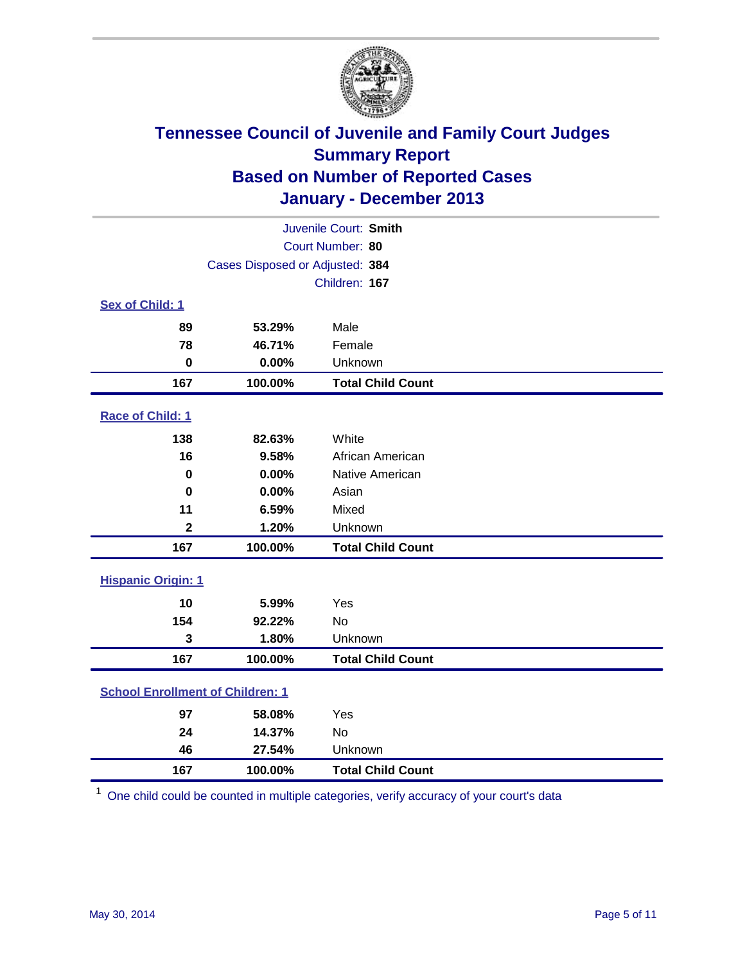

|                                         |                                 | Juvenile Court: Smith    |
|-----------------------------------------|---------------------------------|--------------------------|
|                                         |                                 | Court Number: 80         |
|                                         | Cases Disposed or Adjusted: 384 |                          |
|                                         |                                 | Children: 167            |
| Sex of Child: 1                         |                                 |                          |
| 89                                      | 53.29%                          | Male                     |
| 78                                      | 46.71%                          | Female                   |
| $\bf{0}$                                | 0.00%                           | Unknown                  |
| 167                                     | 100.00%                         | <b>Total Child Count</b> |
| Race of Child: 1                        |                                 |                          |
| 138                                     | 82.63%                          | White                    |
| 16                                      | 9.58%                           | African American         |
| $\bf{0}$                                | 0.00%                           | Native American          |
| $\mathbf 0$                             | 0.00%                           | Asian                    |
| 11                                      | 6.59%                           | Mixed                    |
| $\mathbf{2}$                            | 1.20%                           | Unknown                  |
| 167                                     | 100.00%                         | <b>Total Child Count</b> |
| <b>Hispanic Origin: 1</b>               |                                 |                          |
| 10                                      | 5.99%                           | Yes                      |
| 154                                     | 92.22%                          | <b>No</b>                |
| 3                                       | 1.80%                           | Unknown                  |
| 167                                     | 100.00%                         | <b>Total Child Count</b> |
| <b>School Enrollment of Children: 1</b> |                                 |                          |
| 97                                      | 58.08%                          | Yes                      |
| 24                                      | 14.37%                          | <b>No</b>                |
| 46                                      | 27.54%                          | Unknown                  |
| 167                                     | 100.00%                         | <b>Total Child Count</b> |

One child could be counted in multiple categories, verify accuracy of your court's data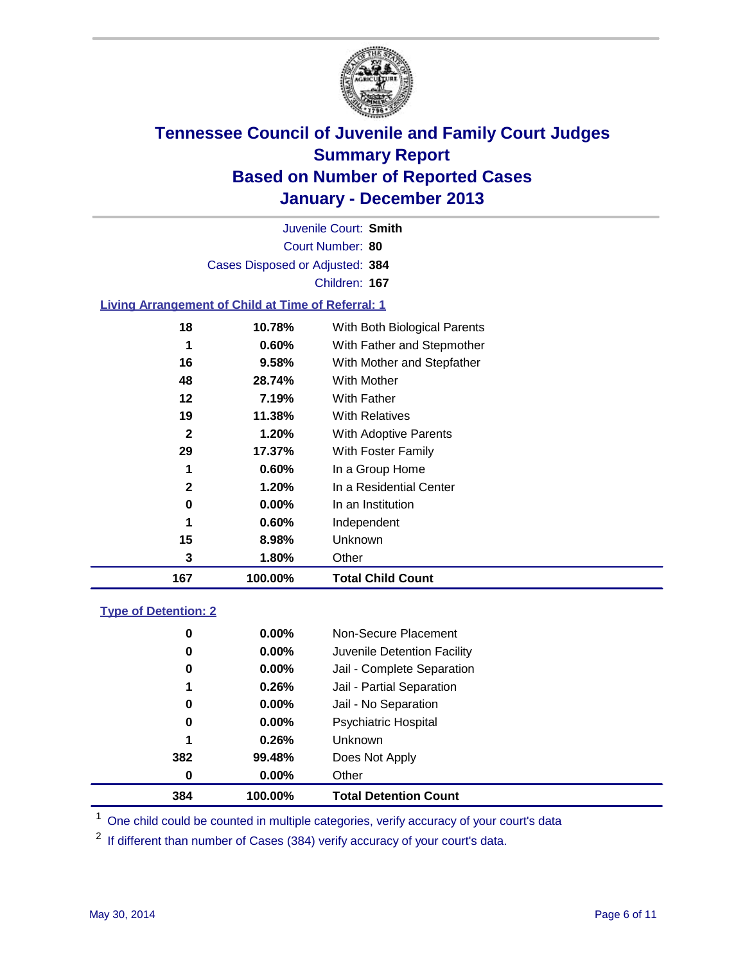

Court Number: **80** Juvenile Court: **Smith** Cases Disposed or Adjusted: **384** Children: **167**

### **Living Arrangement of Child at Time of Referral: 1**

| 167          | 100.00%  | <b>Total Child Count</b>     |
|--------------|----------|------------------------------|
| 3            | 1.80%    | Other                        |
| 15           | 8.98%    | Unknown                      |
| 1            | 0.60%    | Independent                  |
| 0            | $0.00\%$ | In an Institution            |
| 2            | 1.20%    | In a Residential Center      |
| 1            | 0.60%    | In a Group Home              |
| 29           | 17.37%   | With Foster Family           |
| $\mathbf{2}$ | 1.20%    | <b>With Adoptive Parents</b> |
| 19           | 11.38%   | <b>With Relatives</b>        |
| 12           | 7.19%    | With Father                  |
| 48           | 28.74%   | With Mother                  |
| 16           | 9.58%    | With Mother and Stepfather   |
| 1            | $0.60\%$ | With Father and Stepmother   |
| 18           | 10.78%   | With Both Biological Parents |
|              |          |                              |

### **Type of Detention: 2**

| 384 | 100.00%  | <b>Total Detention Count</b> |  |
|-----|----------|------------------------------|--|
| 0   | 0.00%    | Other                        |  |
| 382 | 99.48%   | Does Not Apply               |  |
| 1   | 0.26%    | <b>Unknown</b>               |  |
| 0   | $0.00\%$ | <b>Psychiatric Hospital</b>  |  |
| 0   | 0.00%    | Jail - No Separation         |  |
| 1   | 0.26%    | Jail - Partial Separation    |  |
| 0   | $0.00\%$ | Jail - Complete Separation   |  |
| 0   | 0.00%    | Juvenile Detention Facility  |  |
| 0   | 0.00%    | Non-Secure Placement         |  |
|     |          |                              |  |

<sup>1</sup> One child could be counted in multiple categories, verify accuracy of your court's data

<sup>2</sup> If different than number of Cases (384) verify accuracy of your court's data.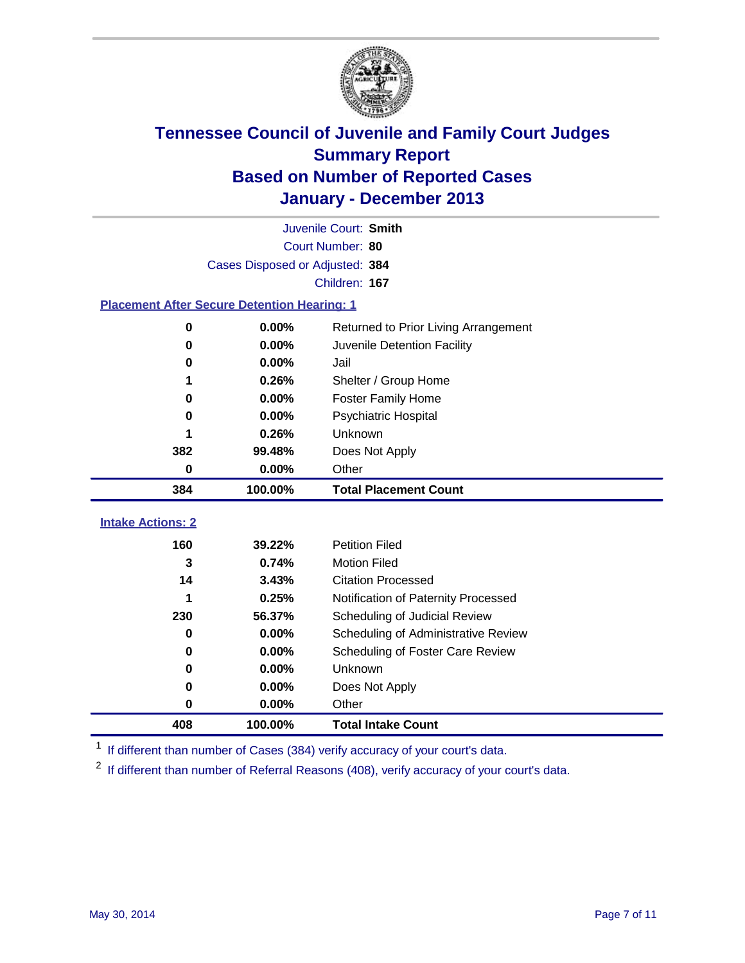

|                                                    |                                 | Juvenile Court: Smith                |
|----------------------------------------------------|---------------------------------|--------------------------------------|
|                                                    |                                 | Court Number: 80                     |
|                                                    | Cases Disposed or Adjusted: 384 |                                      |
|                                                    |                                 | Children: 167                        |
| <b>Placement After Secure Detention Hearing: 1</b> |                                 |                                      |
| 0                                                  | 0.00%                           | Returned to Prior Living Arrangement |
| 0                                                  | 0.00%                           | Juvenile Detention Facility          |
| 0                                                  | 0.00%                           | Jail                                 |
| 1                                                  | 0.26%                           | Shelter / Group Home                 |
| 0                                                  | 0.00%                           | <b>Foster Family Home</b>            |
| 0                                                  | 0.00%                           | <b>Psychiatric Hospital</b>          |
|                                                    | 0.26%                           | Unknown                              |
| 382                                                | 99.48%                          | Does Not Apply                       |
| 0                                                  | 0.00%                           | Other                                |
| 384                                                | 100.00%                         | <b>Total Placement Count</b>         |
|                                                    |                                 |                                      |
| <b>Intake Actions: 2</b>                           |                                 |                                      |
| 160                                                | 39.22%                          | <b>Petition Filed</b>                |
| 3                                                  | 0.74%                           | <b>Motion Filed</b>                  |
| 14                                                 | 3.43%                           | <b>Citation Processed</b>            |
| 1                                                  | 0.25%                           | Notification of Paternity Processed  |
| 230                                                | 56.37%                          | Scheduling of Judicial Review        |
| 0                                                  | 0.00%                           | Scheduling of Administrative Review  |
| 0                                                  | 0.00%                           | Scheduling of Foster Care Review     |
| 0                                                  | 0.00%                           | Unknown                              |
| 0                                                  | 0.00%                           | Does Not Apply                       |
| 0                                                  | 0.00%                           | Other                                |
| 408                                                | 100.00%                         | <b>Total Intake Count</b>            |

<sup>1</sup> If different than number of Cases (384) verify accuracy of your court's data.

<sup>2</sup> If different than number of Referral Reasons (408), verify accuracy of your court's data.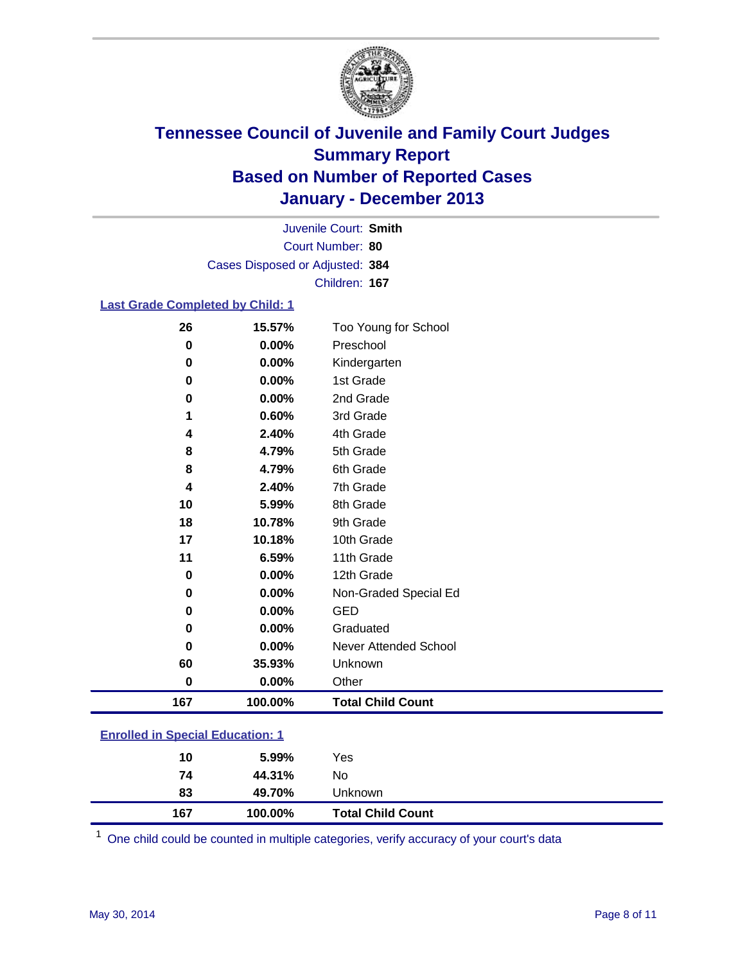

Court Number: **80** Juvenile Court: **Smith** Cases Disposed or Adjusted: **384** Children: **167**

### **Last Grade Completed by Child: 1**

| 26          | 15.57%  | Too Young for School     |
|-------------|---------|--------------------------|
| $\bf{0}$    | 0.00%   | Preschool                |
| 0           | 0.00%   | Kindergarten             |
| 0           | 0.00%   | 1st Grade                |
| 0           | 0.00%   | 2nd Grade                |
| 1           | 0.60%   | 3rd Grade                |
| 4           | 2.40%   | 4th Grade                |
| 8           | 4.79%   | 5th Grade                |
| 8           | 4.79%   | 6th Grade                |
| 4           | 2.40%   | 7th Grade                |
| 10          | 5.99%   | 8th Grade                |
| 18          | 10.78%  | 9th Grade                |
| 17          | 10.18%  | 10th Grade               |
| 11          | 6.59%   | 11th Grade               |
| $\mathbf 0$ | 0.00%   | 12th Grade               |
| 0           | 0.00%   | Non-Graded Special Ed    |
| 0           | 0.00%   | <b>GED</b>               |
| 0           | 0.00%   | Graduated                |
| 0           | 0.00%   | Never Attended School    |
| 60          | 35.93%  | Unknown                  |
| $\bf{0}$    | 0.00%   | Other                    |
| 167         | 100.00% | <b>Total Child Count</b> |

| <b>Enrolled in Special Education: 1</b> |
|-----------------------------------------|
|                                         |

| 167 | 100.00% | <b>Total Child Count</b> |  |
|-----|---------|--------------------------|--|
| 83  | 49.70%  | Unknown                  |  |
| 74  | 44.31%  | No                       |  |
| 10  | 5.99%   | Yes                      |  |
|     |         |                          |  |

One child could be counted in multiple categories, verify accuracy of your court's data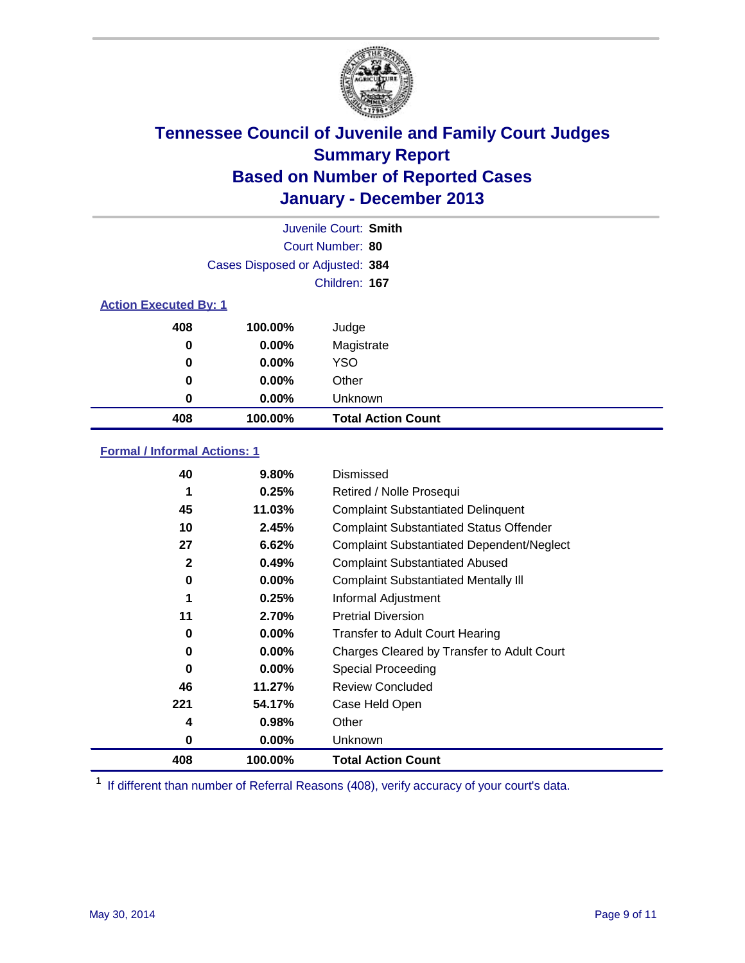

|                              |                                 | Juvenile Court: Smith     |
|------------------------------|---------------------------------|---------------------------|
|                              |                                 | Court Number: 80          |
|                              | Cases Disposed or Adjusted: 384 |                           |
|                              |                                 | Children: 167             |
| <b>Action Executed By: 1</b> |                                 |                           |
| 408                          | 100.00%                         | Judge                     |
| 0                            | $0.00\%$                        | Magistrate                |
| 0                            | $0.00\%$                        | <b>YSO</b>                |
| 0                            | $0.00\%$                        | Other                     |
| 0                            | $0.00\%$                        | Unknown                   |
| 408                          | 100.00%                         | <b>Total Action Count</b> |

### **Formal / Informal Actions: 1**

| 40  | $9.80\%$ | Dismissed                                        |
|-----|----------|--------------------------------------------------|
| 1   | 0.25%    | Retired / Nolle Prosequi                         |
| 45  | 11.03%   | <b>Complaint Substantiated Delinquent</b>        |
| 10  | 2.45%    | <b>Complaint Substantiated Status Offender</b>   |
| 27  | 6.62%    | <b>Complaint Substantiated Dependent/Neglect</b> |
| 2   | 0.49%    | <b>Complaint Substantiated Abused</b>            |
| 0   | $0.00\%$ | <b>Complaint Substantiated Mentally III</b>      |
| 1   | 0.25%    | Informal Adjustment                              |
| 11  | 2.70%    | <b>Pretrial Diversion</b>                        |
| 0   | $0.00\%$ | <b>Transfer to Adult Court Hearing</b>           |
| 0   | $0.00\%$ | Charges Cleared by Transfer to Adult Court       |
| 0   | $0.00\%$ | <b>Special Proceeding</b>                        |
| 46  | 11.27%   | <b>Review Concluded</b>                          |
| 221 | 54.17%   | Case Held Open                                   |
| 4   | 0.98%    | Other                                            |
| 0   | $0.00\%$ | <b>Unknown</b>                                   |
| 408 | 100.00%  | <b>Total Action Count</b>                        |

<sup>1</sup> If different than number of Referral Reasons (408), verify accuracy of your court's data.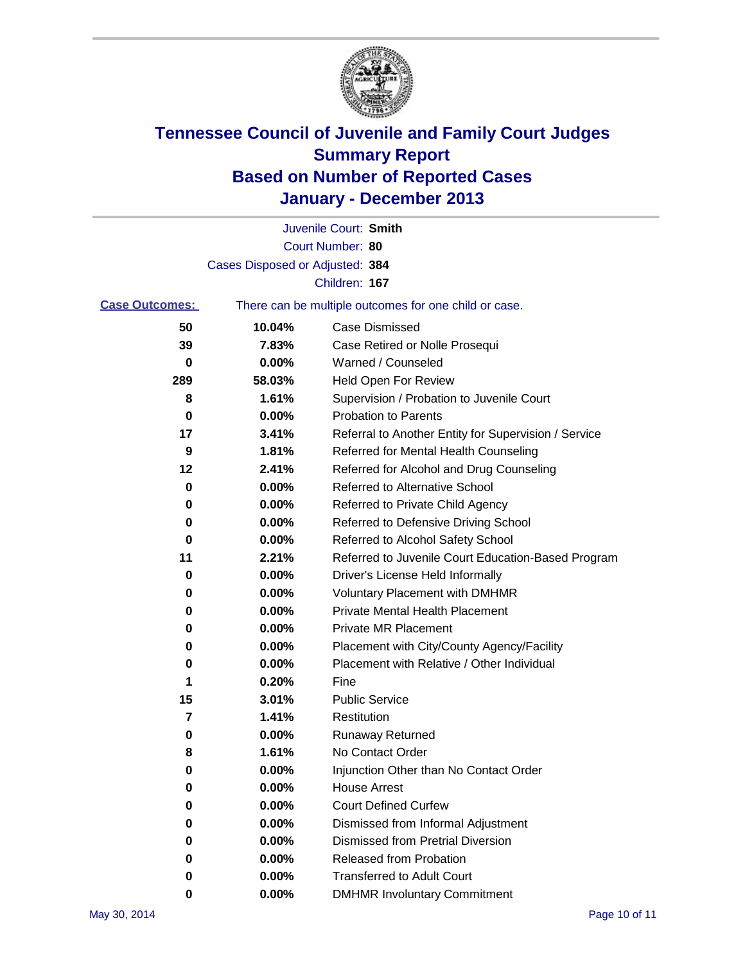

|                       |                                 | Juvenile Court: Smith                                 |
|-----------------------|---------------------------------|-------------------------------------------------------|
|                       |                                 | Court Number: 80                                      |
|                       | Cases Disposed or Adjusted: 384 |                                                       |
|                       |                                 | Children: 167                                         |
| <b>Case Outcomes:</b> |                                 | There can be multiple outcomes for one child or case. |
| 50                    | 10.04%                          | Case Dismissed                                        |
| 39                    | 7.83%                           | Case Retired or Nolle Prosequi                        |
| 0                     | 0.00%                           | Warned / Counseled                                    |
| 289                   | 58.03%                          | Held Open For Review                                  |
| 8                     | 1.61%                           | Supervision / Probation to Juvenile Court             |
| 0                     | 0.00%                           | <b>Probation to Parents</b>                           |
| 17                    | 3.41%                           | Referral to Another Entity for Supervision / Service  |
| 9                     | 1.81%                           | Referred for Mental Health Counseling                 |
| 12                    | 2.41%                           | Referred for Alcohol and Drug Counseling              |
| 0                     | 0.00%                           | <b>Referred to Alternative School</b>                 |
| 0                     | 0.00%                           | Referred to Private Child Agency                      |
| 0                     | 0.00%                           | Referred to Defensive Driving School                  |
| 0                     | 0.00%                           | Referred to Alcohol Safety School                     |
| 11                    | 2.21%                           | Referred to Juvenile Court Education-Based Program    |
| 0                     | 0.00%                           | Driver's License Held Informally                      |
| 0                     | 0.00%                           | <b>Voluntary Placement with DMHMR</b>                 |
| 0                     | 0.00%                           | <b>Private Mental Health Placement</b>                |
| 0                     | 0.00%                           | <b>Private MR Placement</b>                           |
| 0                     | 0.00%                           | Placement with City/County Agency/Facility            |
| 0                     | 0.00%                           | Placement with Relative / Other Individual            |
| 1                     | 0.20%                           | Fine                                                  |
| 15                    | 3.01%                           | <b>Public Service</b>                                 |
| 7                     | 1.41%                           | Restitution                                           |
| 0                     | 0.00%                           | <b>Runaway Returned</b>                               |
| 8                     | 1.61%                           | No Contact Order                                      |
| 0                     | 0.00%                           | Injunction Other than No Contact Order                |
| 0                     | 0.00%                           | <b>House Arrest</b>                                   |
| 0                     | 0.00%                           | <b>Court Defined Curfew</b>                           |
| 0                     | 0.00%                           | Dismissed from Informal Adjustment                    |
| 0                     | 0.00%                           | <b>Dismissed from Pretrial Diversion</b>              |
| 0                     | 0.00%                           | Released from Probation                               |
| 0                     | 0.00%                           | <b>Transferred to Adult Court</b>                     |
| 0                     | $0.00\%$                        | <b>DMHMR Involuntary Commitment</b>                   |